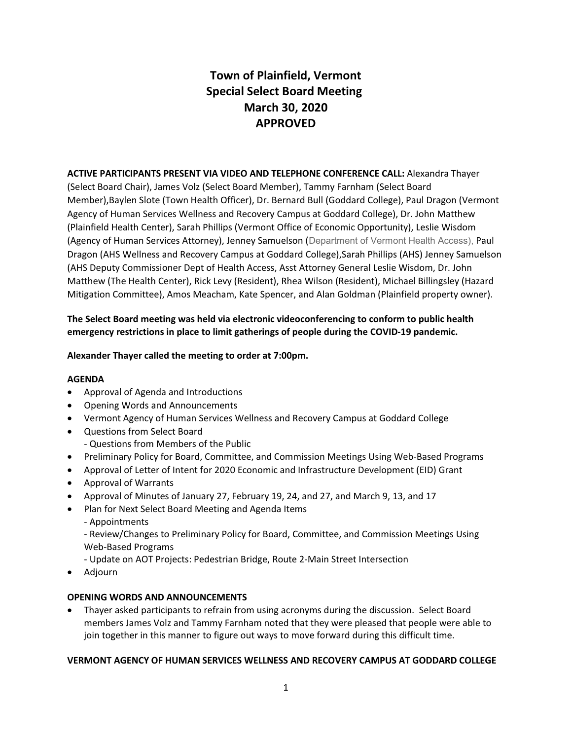# **Town of Plainfield, Vermont Special Select Board Meeting March 30, 2020 APPROVED**

# **ACTIVE PARTICIPANTS PRESENT VIA VIDEO AND TELEPHONE CONFERENCE CALL:** Alexandra Thayer

(Select Board Chair), James Volz (Select Board Member), Tammy Farnham (Select Board Member),Baylen Slote (Town Health Officer), Dr. Bernard Bull (Goddard College), Paul Dragon (Vermont Agency of Human Services Wellness and Recovery Campus at Goddard College), Dr. John Matthew (Plainfield Health Center), Sarah Phillips (Vermont Office of Economic Opportunity), Leslie Wisdom (Agency of Human Services Attorney), Jenney Samuelson (Department of Vermont Health Access), Paul Dragon (AHS Wellness and Recovery Campus at Goddard College),Sarah Phillips (AHS) Jenney Samuelson (AHS Deputy Commissioner Dept of Health Access, Asst Attorney General Leslie Wisdom, Dr. John Matthew (The Health Center), Rick Levy (Resident), Rhea Wilson (Resident), Michael Billingsley (Hazard Mitigation Committee), Amos Meacham, Kate Spencer, and Alan Goldman (Plainfield property owner).

# **The Select Board meeting was held via electronic videoconferencing to conform to public health emergency restrictions in place to limit gatherings of people during the COVID-19 pandemic.**

#### **Alexander Thayer called the meeting to order at 7:00pm.**

#### **AGENDA**

- · Approval of Agenda and Introductions
- · Opening Words and Announcements
- · Vermont Agency of Human Services Wellness and Recovery Campus at Goddard College
- · Questions from Select Board - Questions from Members of the Public
- · Preliminary Policy for Board, Committee, and Commission Meetings Using Web-Based Programs
- · Approval of Letter of Intent for 2020 Economic and Infrastructure Development (EID) Grant
- · Approval of Warrants
- · Approval of Minutes of January 27, February 19, 24, and 27, and March 9, 13, and 17
- · Plan for Next Select Board Meeting and Agenda Items
	- Appointments

- Review/Changes to Preliminary Policy for Board, Committee, and Commission Meetings Using Web-Based Programs

- Update on AOT Projects: Pedestrian Bridge, Route 2-Main Street Intersection

· Adjourn

#### **OPENING WORDS AND ANNOUNCEMENTS**

· Thayer asked participants to refrain from using acronyms during the discussion. Select Board members James Volz and Tammy Farnham noted that they were pleased that people were able to join together in this manner to figure out ways to move forward during this difficult time.

#### **VERMONT AGENCY OF HUMAN SERVICES WELLNESS AND RECOVERY CAMPUS AT GODDARD COLLEGE**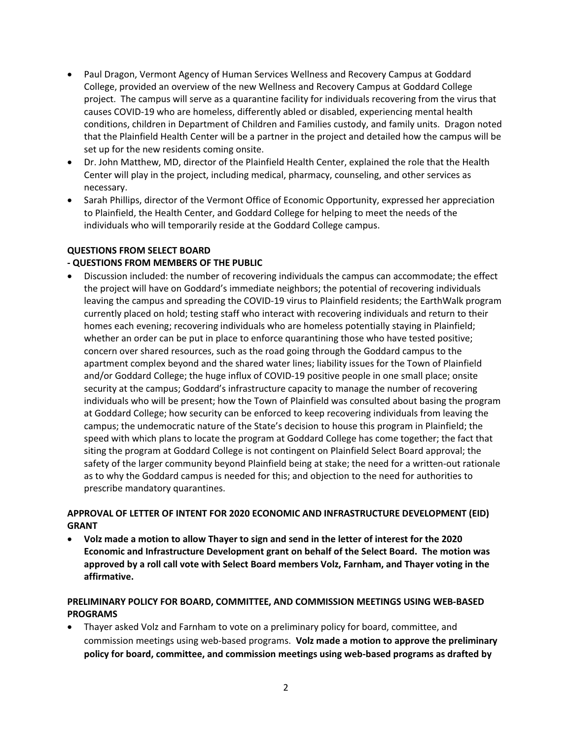- · Paul Dragon, Vermont Agency of Human Services Wellness and Recovery Campus at Goddard College, provided an overview of the new Wellness and Recovery Campus at Goddard College project. The campus will serve as a quarantine facility for individuals recovering from the virus that causes COVID-19 who are homeless, differently abled or disabled, experiencing mental health conditions, children in Department of Children and Families custody, and family units. Dragon noted that the Plainfield Health Center will be a partner in the project and detailed how the campus will be set up for the new residents coming onsite.
- · Dr. John Matthew, MD, director of the Plainfield Health Center, explained the role that the Health Center will play in the project, including medical, pharmacy, counseling, and other services as necessary.
- · Sarah Phillips, director of the Vermont Office of Economic Opportunity, expressed her appreciation to Plainfield, the Health Center, and Goddard College for helping to meet the needs of the individuals who will temporarily reside at the Goddard College campus.

# **QUESTIONS FROM SELECT BOARD**

# **- QUESTIONS FROM MEMBERS OF THE PUBLIC**

· Discussion included: the number of recovering individuals the campus can accommodate; the effect the project will have on Goddard's immediate neighbors; the potential of recovering individuals leaving the campus and spreading the COVID-19 virus to Plainfield residents; the EarthWalk program currently placed on hold; testing staff who interact with recovering individuals and return to their homes each evening; recovering individuals who are homeless potentially staying in Plainfield; whether an order can be put in place to enforce quarantining those who have tested positive; concern over shared resources, such as the road going through the Goddard campus to the apartment complex beyond and the shared water lines; liability issues for the Town of Plainfield and/or Goddard College; the huge influx of COVID-19 positive people in one small place; onsite security at the campus; Goddard's infrastructure capacity to manage the number of recovering individuals who will be present; how the Town of Plainfield was consulted about basing the program at Goddard College; how security can be enforced to keep recovering individuals from leaving the campus; the undemocratic nature of the State's decision to house this program in Plainfield; the speed with which plans to locate the program at Goddard College has come together; the fact that siting the program at Goddard College is not contingent on Plainfield Select Board approval; the safety of the larger community beyond Plainfield being at stake; the need for a written-out rationale as to why the Goddard campus is needed for this; and objection to the need for authorities to prescribe mandatory quarantines.

# **APPROVAL OF LETTER OF INTENT FOR 2020 ECONOMIC AND INFRASTRUCTURE DEVELOPMENT (EID) GRANT**

· **Volz made a motion to allow Thayer to sign and send in the letter of interest for the 2020 Economic and Infrastructure Development grant on behalf of the Select Board. The motion was approved by a roll call vote with Select Board members Volz, Farnham, and Thayer voting in the affirmative.** 

# **PRELIMINARY POLICY FOR BOARD, COMMITTEE, AND COMMISSION MEETINGS USING WEB-BASED PROGRAMS**

· Thayer asked Volz and Farnham to vote on a preliminary policy for board, committee, and commission meetings using web-based programs. **Volz made a motion to approve the preliminary policy for board, committee, and commission meetings using web-based programs as drafted by**